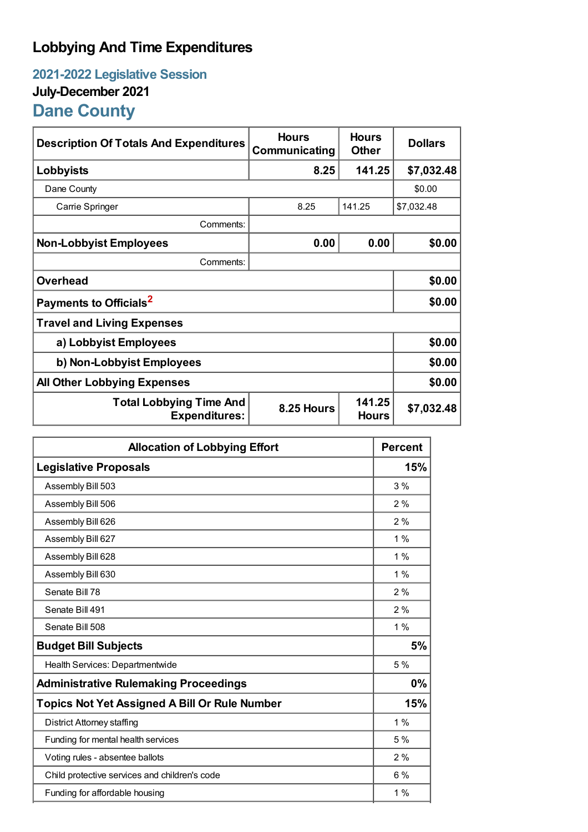## **Lobbying And Time Expenditures**

## **2021-2022 Legislative Session July-December 2021 Dane County**

| <b>Description Of Totals And Expenditures</b>          | <b>Hours</b><br>Communicating | <b>Hours</b><br><b>Other</b> | <b>Dollars</b> |
|--------------------------------------------------------|-------------------------------|------------------------------|----------------|
| Lobbyists                                              | 8.25                          | 141.25                       | \$7,032.48     |
| Dane County                                            |                               |                              | \$0.00         |
| Carrie Springer                                        | 8.25                          | 141.25                       | \$7,032.48     |
| Comments:                                              |                               |                              |                |
| <b>Non-Lobbyist Employees</b>                          | 0.00                          | 0.00                         | \$0.00         |
| Comments:                                              |                               |                              |                |
| <b>Overhead</b>                                        |                               |                              | \$0.00         |
| Payments to Officials <sup>2</sup>                     |                               |                              | \$0.00         |
| <b>Travel and Living Expenses</b>                      |                               |                              |                |
| a) Lobbyist Employees                                  |                               |                              | \$0.00         |
| b) Non-Lobbyist Employees                              |                               |                              | \$0.00         |
| <b>All Other Lobbying Expenses</b>                     |                               |                              | \$0.00         |
| <b>Total Lobbying Time And</b><br><b>Expenditures:</b> | 8.25 Hours                    | 141.25<br><b>Hours</b>       | \$7,032.48     |

| <b>Allocation of Lobbying Effort</b>                 |       |
|------------------------------------------------------|-------|
| <b>Legislative Proposals</b>                         | 15%   |
| Assembly Bill 503                                    | 3%    |
| Assembly Bill 506                                    | 2%    |
| Assembly Bill 626                                    | 2%    |
| Assembly Bill 627                                    | $1\%$ |
| Assembly Bill 628                                    | 1%    |
| Assembly Bill 630                                    | $1\%$ |
| Senate Bill 78                                       | 2%    |
| Senate Bill 491                                      | 2%    |
| Senate Bill 508                                      | $1\%$ |
| <b>Budget Bill Subjects</b>                          | 5%    |
| Health Services: Departmentwide                      | 5 %   |
| <b>Administrative Rulemaking Proceedings</b>         | 0%    |
| <b>Topics Not Yet Assigned A Bill Or Rule Number</b> | 15%   |
| <b>District Attorney staffing</b>                    | $1\%$ |
| Funding for mental health services                   | 5%    |
| Voting rules - absentee ballots                      | 2%    |
| Child protective services and children's code        | 6%    |
| Funding for affordable housing                       | $1\%$ |